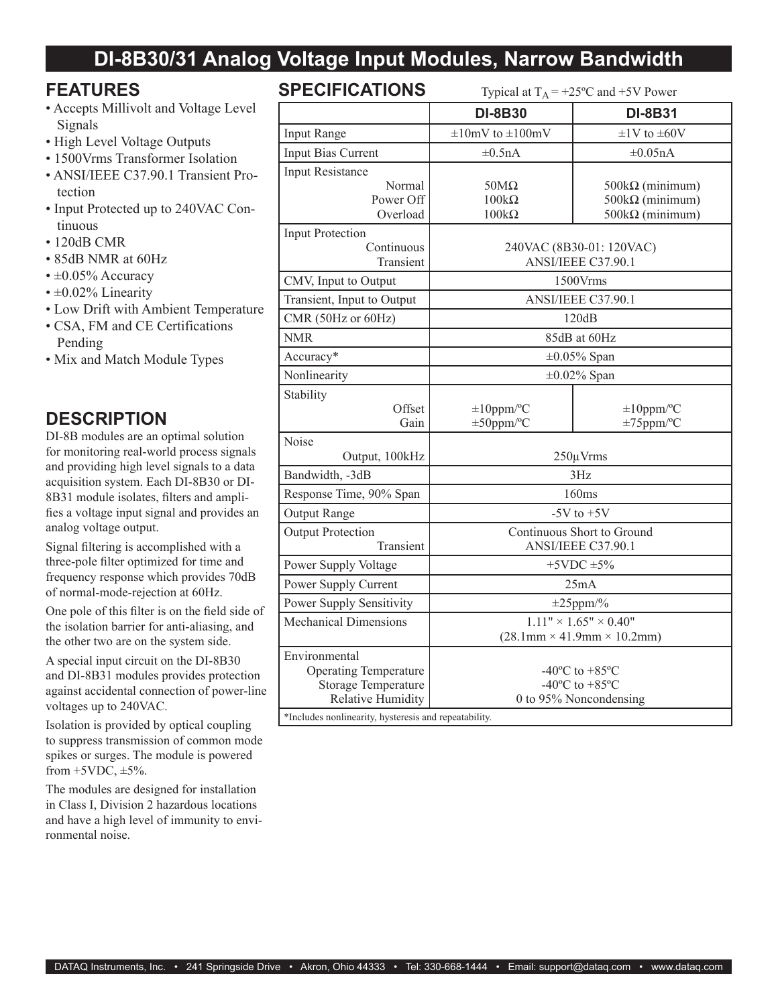# **DI-8B30/31 Analog Voltage Input Modules, Narrow Bandwidth**

## **FEATURES**

- Accepts Millivolt and Voltage Level Signals
- High Level Voltage Outputs
- 1500Vrms Transformer Isolation
- ANSI/IEEE C37.90.1 Transient Protection
- Input Protected up to 240VAC Continuous
- 120dB CMR
- 85dB NMR at 60Hz
- $\cdot \pm 0.05\%$  Accuracy
- $\cdot$  ±0.02% Linearity
- Low Drift with Ambient Temperature
- CSA, FM and CE Certifications Pending
- Mix and Match Module Types

## **DESCRIPTION**

DI-8B modules are an optimal solution for monitoring real-world process signals and providing high level signals to a data acquisition system. Each DI-8B30 or DI-8B31 module isolates, filters and amplifies a voltage input signal and provides an analog voltage output.

Signal filtering is accomplished with a three-pole filter optimized for time and frequency response which provides 70dB of normal-mode-rejection at 60Hz.

One pole of this filter is on the field side of the isolation barrier for anti-aliasing, and the other two are on the system side.

A special input circuit on the DI-8B30 and DI-8B31 modules provides protection against accidental connection of power-line voltages up to 240VAC.

Isolation is provided by optical coupling to suppress transmission of common mode spikes or surges. The module is powered from  $+5VDC$ ,  $\pm 5\%$ .

The modules are designed for installation in Class I, Division 2 hazardous locations and have a high level of immunity to environmental noise.

## SPECIFIC ATIONS

| <b>JFEVIFIUAI IUNJ</b>                                                                           | Typical at $I_A = +25$ °C and $+5V$ Power                                                             |                                                                            |  |
|--------------------------------------------------------------------------------------------------|-------------------------------------------------------------------------------------------------------|----------------------------------------------------------------------------|--|
|                                                                                                  | <b>DI-8B30</b>                                                                                        | <b>DI-8B31</b>                                                             |  |
| <b>Input Range</b>                                                                               | $\pm 10$ mV to $\pm 100$ mV                                                                           | $\pm 1$ V to $\pm 60$ V                                                    |  |
| Input Bias Current                                                                               | $\pm 0.5nA$                                                                                           | $\pm 0.05$ nA                                                              |  |
| <b>Input Resistance</b><br>Normal<br>Power Off<br>Overload                                       | $50M\Omega$<br>$100k\Omega$<br>$100k\Omega$                                                           | $500k\Omega$ (minimum)<br>$500k\Omega$ (minimum)<br>$500k\Omega$ (minimum) |  |
| <b>Input Protection</b><br>Continuous<br>Transient                                               | 240VAC (8B30-01: 120VAC)<br>ANSI/IEEE C37.90.1                                                        |                                                                            |  |
| CMV, Input to Output                                                                             | 1500Vrms                                                                                              |                                                                            |  |
| Transient, Input to Output                                                                       | ANSI/IEEE C37.90.1                                                                                    |                                                                            |  |
| CMR (50Hz or 60Hz)                                                                               | 120dB                                                                                                 |                                                                            |  |
| <b>NMR</b>                                                                                       | 85dB at 60Hz                                                                                          |                                                                            |  |
| Accuracy*                                                                                        | $\pm 0.05\%$ Span                                                                                     |                                                                            |  |
| Nonlinearity                                                                                     | $\pm 0.02\%$ Span                                                                                     |                                                                            |  |
| Stability<br>Offset<br>Gain                                                                      | $\pm 10$ ppm/°C<br>$\pm 50$ ppm/°C                                                                    | $\pm 10$ ppm/°C<br>$\pm 75$ ppm/°C                                         |  |
| Noise<br>Output, 100kHz                                                                          | $250 \mu V$ rms                                                                                       |                                                                            |  |
| Bandwidth, -3dB                                                                                  | 3Hz                                                                                                   |                                                                            |  |
| Response Time, 90% Span                                                                          | 160ms                                                                                                 |                                                                            |  |
| Output Range                                                                                     | $-5V$ to $+5V$                                                                                        |                                                                            |  |
| <b>Output Protection</b><br>Transient                                                            | Continuous Short to Ground<br>ANSI/IEEE C37.90.1                                                      |                                                                            |  |
| Power Supply Voltage                                                                             | $+5$ VDC $\pm$ 5%                                                                                     |                                                                            |  |
| Power Supply Current                                                                             | 25mA                                                                                                  |                                                                            |  |
| Power Supply Sensitivity                                                                         | $\pm 25$ ppm/%                                                                                        |                                                                            |  |
| <b>Mechanical Dimensions</b>                                                                     | $\overline{1.11}$ " × 1.65" × 0.40"<br>$(28.1 \text{mm} \times 41.9 \text{mm} \times 10.2 \text{mm})$ |                                                                            |  |
| Environmental<br><b>Operating Temperature</b><br><b>Storage Temperature</b><br>Relative Humidity | $-40^{\circ}$ C to $+85^{\circ}$ C<br>-40 $^{\circ}$ C to +85 $^{\circ}$ C<br>0 to 95% Noncondensing  |                                                                            |  |
| *Includes nonlinearity, hysteresis and repeatability.                                            |                                                                                                       |                                                                            |  |